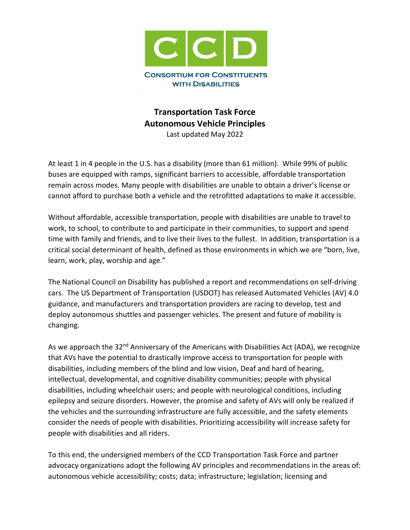

# **Transportation Task Force Autonomous Vehicle Principles** Last updated May 2022

At least 1 in 4 people in the U.S. has a disability (more than 61 million). While 99% of public buses are equipped with ramps, significant barriers to accessible, affordable transportation remain across modes. Many people with disabilities are unable to obtain a driver's license or cannot afford to purchase both a vehicle and the retrofitted adaptations to make it accessible.

Without affordable, accessible transportation, people with disabilities are unable to travel to work, to school, to contribute to and participate in their communities, to support and spend time with family and friends, and to live their lives to the fullest. In addition, transportation is a critical social determinant of health, defined as those environments in which we are "born, live, learn, work, play, worship and age."

The National Council on Disability has published a report and recommendations on self-driving cars. The US Department of Transportation (USDOT) has released Automated Vehicles (AV) 4.0 guidance, and manufacturers and transportation providers are racing to develop, test and deploy autonomous shuttles and passenger vehicles. The present and future of mobility is changing.

As we approach the 32<sup>nd</sup> Anniversary of the Americans with Disabilities Act (ADA), we recognize that AVs have the potential to drastically improve access to transportation for people with disabilities, including members of the blind and low vision, Deaf and hard of hearing, intellectual, developmental, and cognitive disability communities; people with physical disabilities, including wheelchair users; and people with neurological conditions, including epilepsy and seizure disorders. However, the promise and safety of AVs will only be realized if the vehicles and the surrounding infrastructure are fully accessible, and the safety elements consider the needs of people with disabilities. Prioritizing accessibility will increase safety for people with disabilities and all riders.

To this end, the undersigned members of the CCD Transportation Task Force and partner advocacy organizations adopt the following AV principles and recommendations in the areas of: autonomous vehicle accessibility; costs; data; infrastructure; legislation; licensing and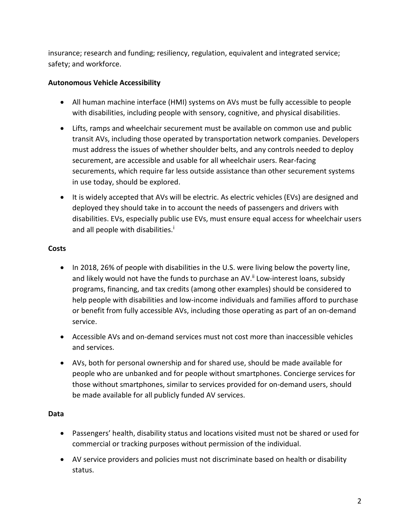insurance; research and funding; resiliency, regulation, equivalent and integrated service; safety; and workforce.

## **Autonomous Vehicle Accessibility**

- All human machine interface (HMI) systems on AVs must be fully accessible to people with disabilities, including people with sensory, cognitive, and physical disabilities.
- Lifts, ramps and wheelchair securement must be available on common use and public transit AVs, including those operated by transportation network companies. Developers must address the issues of whether shoulder belts, and any controls needed to deploy securement, are accessible and usable for all wheelchair users. Rear-facing securements, which require far less outside assistance than other securement systems in use today, should be explored.
- It is widely accepted that AVs will be electric. As electric vehicles (EVs) are designed and deployed they should take in to account the needs of passengers and drivers with disabilities. EVs, especially public use EVs, must ensure equal access for wheelchair users and all people w[i](#page-6-0)th disabilities.<sup>i</sup>

# **Costs**

- In 2018, 26% of people with disabilities in the U.S. were living below the poverty line, and likely would not have the funds to purchase an AV.<sup>[ii](#page-6-1)</sup> Low-interest loans, subsidy programs, financing, and tax credits (among other examples) should be considered to help people with disabilities and low-income individuals and families afford to purchase or benefit from fully accessible AVs, including those operating as part of an on-demand service.
- Accessible AVs and on-demand services must not cost more than inaccessible vehicles and services.
- AVs, both for personal ownership and for shared use, should be made available for people who are unbanked and for people without smartphones. Concierge services for those without smartphones, similar to services provided for on-demand users, should be made available for all publicly funded AV services.

### **Data**

- Passengers' health, disability status and locations visited must not be shared or used for commercial or tracking purposes without permission of the individual.
- AV service providers and policies must not discriminate based on health or disability status.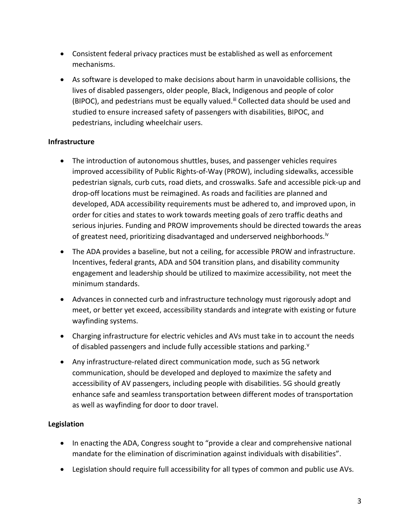- Consistent federal privacy practices must be established as well as enforcement mechanisms.
- As software is developed to make decisions about harm in unavoidable collisions, the lives of disabled passengers, older people, Black, Indigenous and people of color (BIPOC), and pedestrians must be equally valued.<sup>[iii](#page-6-2)</sup> Collected data should be used and studied to ensure increased safety of passengers with disabilities, BIPOC, and pedestrians, including wheelchair users.

### **Infrastructure**

- The introduction of autonomous shuttles, buses, and passenger vehicles requires improved accessibility of Public Rights-of-Way (PROW), including sidewalks, accessible pedestrian signals, curb cuts, road diets, and crosswalks. Safe and accessible pick-up and drop-off locations must be reimagined. As roads and facilities are planned and developed, ADA accessibility requirements must be adhered to, and improved upon, in order for cities and states to work towards meeting goals of zero traffic deaths and serious injuries. Funding and PROW improvements should be directed towards the areas of greatest need, prioritizing disadvantaged and underserved neighborhoods.<sup>[iv](#page-6-3)</sup>
- The ADA provides a baseline, but not a ceiling, for accessible PROW and infrastructure. Incentives, federal grants, ADA and 504 transition plans, and disability community engagement and leadership should be utilized to maximize accessibility, not meet the minimum standards.
- Advances in connected curb and infrastructure technology must rigorously adopt and meet, or better yet exceed, accessibility standards and integrate with existing or future wayfinding systems.
- Charging infrastructure for electric vehicles and AVs must take in to account the needs of disabled passengers and include fully accessible stations and parking.<sup>[v](#page-6-4)</sup>
- Any infrastructure-related direct communication mode, such as 5G network communication, should be developed and deployed to maximize the safety and accessibility of AV passengers, including people with disabilities. 5G should greatly enhance safe and seamless transportation between different modes of transportation as well as wayfinding for door to door travel.

### **Legislation**

- In enacting the ADA, Congress sought to "provide a clear and comprehensive national mandate for the elimination of discrimination against individuals with disabilities".
- Legislation should require full accessibility for all types of common and public use AVs.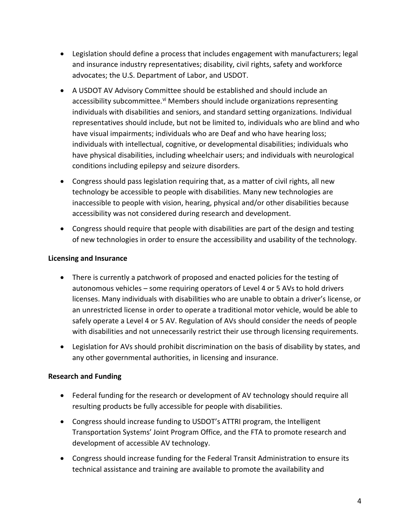- Legislation should define a process that includes engagement with manufacturers; legal and insurance industry representatives; disability, civil rights, safety and workforce advocates; the U.S. Department of Labor, and USDOT.
- A USDOT AV Advisory Committee should be established and should include an accessibility subcommittee.<sup>[vi](#page-6-5)</sup> Members should include organizations representing individuals with disabilities and seniors, and standard setting organizations. Individual representatives should include, but not be limited to, individuals who are blind and who have visual impairments; individuals who are Deaf and who have hearing loss; individuals with intellectual, cognitive, or developmental disabilities; individuals who have physical disabilities, including wheelchair users; and individuals with neurological conditions including epilepsy and seizure disorders.
- Congress should pass legislation requiring that, as a matter of civil rights, all new technology be accessible to people with disabilities. Many new technologies are inaccessible to people with vision, hearing, physical and/or other disabilities because accessibility was not considered during research and development.
- Congress should require that people with disabilities are part of the design and testing of new technologies in order to ensure the accessibility and usability of the technology.

### **Licensing and Insurance**

- There is currently a patchwork of proposed and enacted policies for the testing of autonomous vehicles – some requiring operators of Level 4 or 5 AVs to hold drivers licenses. Many individuals with disabilities who are unable to obtain a driver's license, or an unrestricted license in order to operate a traditional motor vehicle, would be able to safely operate a Level 4 or 5 AV. Regulation of AVs should consider the needs of people with disabilities and not unnecessarily restrict their use through licensing requirements.
- Legislation for AVs should prohibit discrimination on the basis of disability by states, and any other governmental authorities, in licensing and insurance.

#### **Research and Funding**

- Federal funding for the research or development of AV technology should require all resulting products be fully accessible for people with disabilities.
- Congress should increase funding to USDOT's ATTRI program, the Intelligent Transportation Systems' Joint Program Office, and the FTA to promote research and development of accessible AV technology.
- Congress should increase funding for the Federal Transit Administration to ensure its technical assistance and training are available to promote the availability and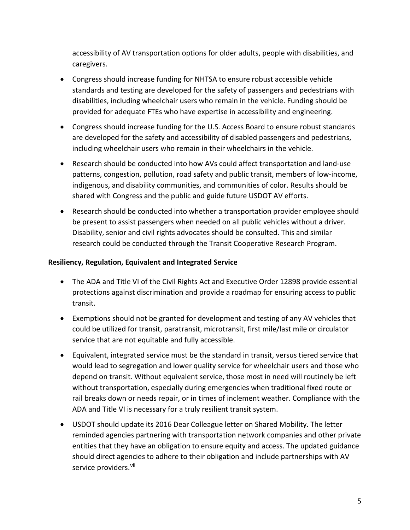accessibility of AV transportation options for older adults, people with disabilities, and caregivers.

- Congress should increase funding for NHTSA to ensure robust accessible vehicle standards and testing are developed for the safety of passengers and pedestrians with disabilities, including wheelchair users who remain in the vehicle. Funding should be provided for adequate FTEs who have expertise in accessibility and engineering.
- Congress should increase funding for the U.S. Access Board to ensure robust standards are developed for the safety and accessibility of disabled passengers and pedestrians, including wheelchair users who remain in their wheelchairs in the vehicle.
- Research should be conducted into how AVs could affect transportation and land-use patterns, congestion, pollution, road safety and public transit, members of low-income, indigenous, and disability communities, and communities of color. Results should be shared with Congress and the public and guide future USDOT AV efforts.
- Research should be conducted into whether a transportation provider employee should be present to assist passengers when needed on all public vehicles without a driver. Disability, senior and civil rights advocates should be consulted. This and similar research could be conducted through the Transit Cooperative Research Program.

### **Resiliency, Regulation, Equivalent and Integrated Service**

- The ADA and Title VI of the Civil Rights Act and Executive Order 12898 provide essential protections against discrimination and provide a roadmap for ensuring access to public transit.
- Exemptions should not be granted for development and testing of any AV vehicles that could be utilized for transit, paratransit, microtransit, first mile/last mile or circulator service that are not equitable and fully accessible.
- Equivalent, integrated service must be the standard in transit, versus tiered service that would lead to segregation and lower quality service for wheelchair users and those who depend on transit. Without equivalent service, those most in need will routinely be left without transportation, especially during emergencies when traditional fixed route or rail breaks down or needs repair, or in times of inclement weather. Compliance with the ADA and Title VI is necessary for a truly resilient transit system.
- USDOT should update its 2016 Dear Colleague letter on Shared Mobility. The letter reminded agencies partnering with transportation network companies and other private entities that they have an obligation to ensure equity and access. The updated guidance should direct agencies to adhere to their obligation and include partnerships with AV service providers. Vil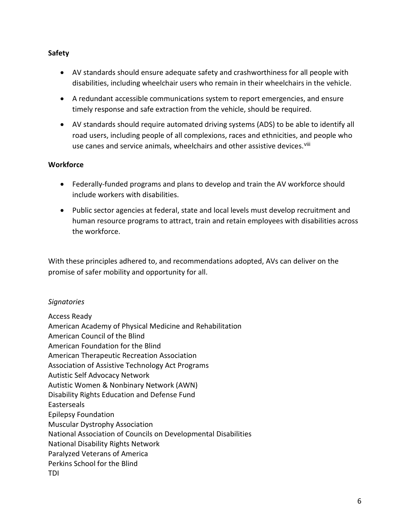#### **Safety**

- AV standards should ensure adequate safety and crashworthiness for all people with disabilities, including wheelchair users who remain in their wheelchairs in the vehicle.
- A redundant accessible communications system to report emergencies, and ensure timely response and safe extraction from the vehicle, should be required.
- AV standards should require automated driving systems (ADS) to be able to identify all road users, including people of all complexions, races and ethnicities, and people who use canes and service animals, wheelchairs and other assistive devices.<sup>[viii](#page-6-7)</sup>

#### **Workforce**

- Federally-funded programs and plans to develop and train the AV workforce should include workers with disabilities.
- Public sector agencies at federal, state and local levels must develop recruitment and human resource programs to attract, train and retain employees with disabilities across the workforce.

With these principles adhered to, and recommendations adopted, AVs can deliver on the promise of safer mobility and opportunity for all.

### *Signatories*

Access Ready American Academy of Physical Medicine and Rehabilitation American Council of the Blind American Foundation for the Blind American Therapeutic Recreation Association Association of Assistive Technology Act Programs Autistic Self Advocacy Network Autistic Women & Nonbinary Network (AWN) Disability Rights Education and Defense Fund Easterseals Epilepsy Foundation Muscular Dystrophy Association National Association of Councils on Developmental Disabilities National Disability Rights Network Paralyzed Veterans of America Perkins School for the Blind TDI